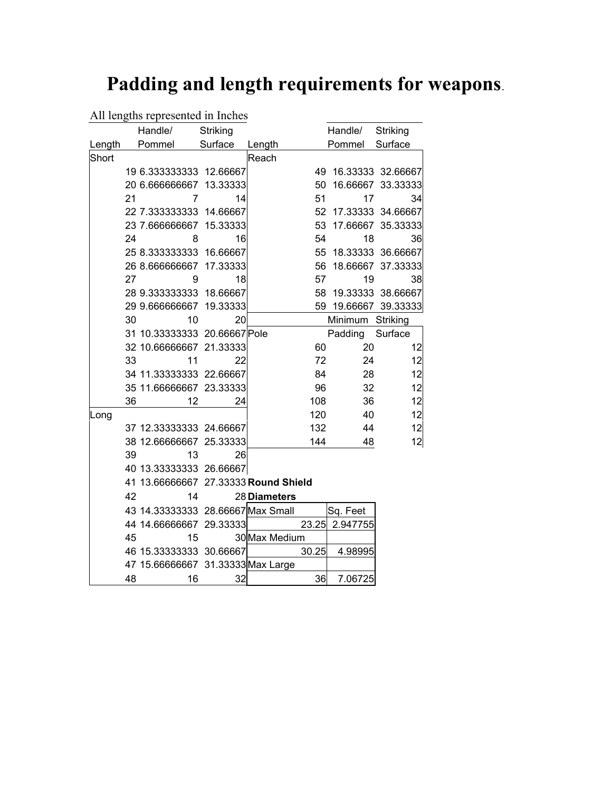## **Padding and length requirements for weapons**.

## All lengths represented in Inches

|        |    | Handle/                              | Striking |               |       | Handle/              | Striking          |
|--------|----|--------------------------------------|----------|---------------|-------|----------------------|-------------------|
| Length |    | Pommel Surface                       |          | Length        |       | Pommel               | Surface           |
| Short  |    |                                      |          | Reach         |       |                      |                   |
|        |    | 19 6.333333333 12.66667              |          |               |       | 49 16.33333 32.66667 |                   |
|        |    | 20 6.666666667                       | 13.33333 |               |       | 50 16.66667 33.33333 |                   |
|        | 21 | 7                                    | 14       |               | 51    | 17                   | 34                |
|        |    | 22 7.333333333 14.66667              |          |               |       | 52 17.33333 34.66667 |                   |
|        |    | 23 7.666666667 15.33333              |          |               | 53    |                      | 17.66667 35.33333 |
|        | 24 | 8                                    | 16       |               | 54    | 18                   | 36                |
|        |    | 25 8.333333333 16.66667              |          |               |       | 55 18.33333 36.66667 |                   |
|        |    | 26 8.666666667                       | 17.33333 |               |       | 56 18.66667 37.33333 |                   |
|        | 27 | 9                                    | 18       |               | 57    | 19                   | 38                |
|        |    | 28 9.333333333 18.66667              |          |               |       | 58 19.33333 38.66667 |                   |
|        |    | 29 9.666666667 19.33333              |          |               |       | 59 19.66667 39.33333 |                   |
|        | 30 | 10                                   | 20       |               |       | Minimum Striking     |                   |
|        |    | 31 10.33333333 20.66667 Pole         |          |               |       | Padding              | Surface           |
|        |    | 32 10.66666667 21.33333              |          |               | 60    | 20                   | 12                |
|        | 33 | 11                                   | 22       |               | 72    | 24                   | 12                |
|        |    | 34 11.33333333 22.66667              |          |               | 84    | 28                   | 12                |
|        |    | 35 11.66666667 23.33333              |          |               | 96    | 32                   | 12                |
|        | 36 | 12                                   | 24       |               | 108   | 36                   | 12                |
| Long   |    |                                      |          |               | 120   | 40                   | 12                |
|        |    | 37 12.33333333 24.66667              |          |               | 132   | 44                   | 12                |
|        |    | 38 12.66666667 25.33333              |          |               | 144   | 48                   | 12                |
|        | 39 | 13                                   | 26       |               |       |                      |                   |
|        |    | 40 13.33333333 26.66667              |          |               |       |                      |                   |
|        |    | 41 13.66666667 27.33333 Round Shield |          |               |       |                      |                   |
|        | 42 | 14                                   |          | 28 Diameters  |       |                      |                   |
|        |    | 43 14.33333333 28.66667 Max Small    |          |               |       | Sq. Feet             |                   |
|        |    | 44 14.66666667 29.33333              |          |               |       | 23.25 2.947755       |                   |
|        | 45 | 15                                   |          | 30 Max Medium |       |                      |                   |
|        |    | 46 15.33333333 30.66667              |          |               | 30.25 | 4.98995              |                   |
|        |    | 47 15.66666667 31.33333 Max Large    |          |               |       |                      |                   |
|        | 48 | 16                                   | 32       |               | 36    | 7.06725              |                   |